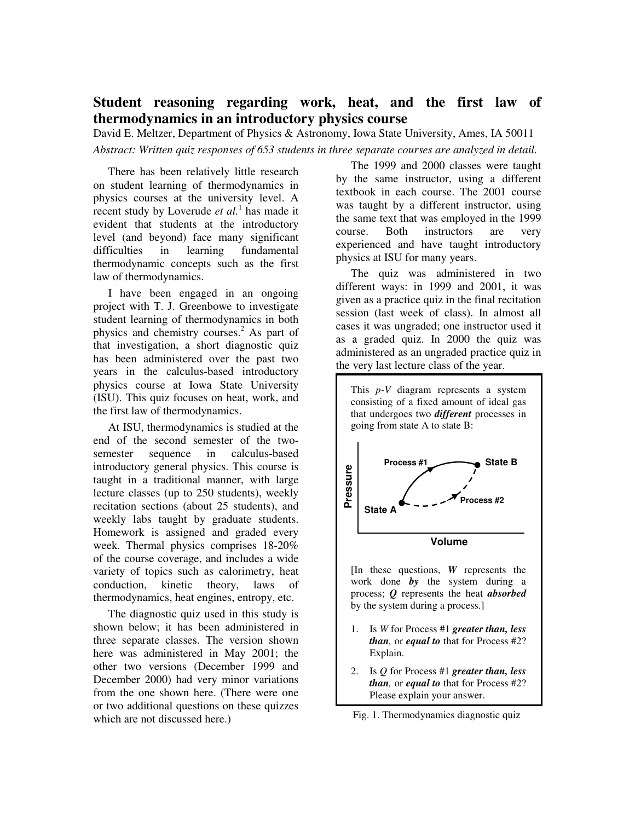# **Student reasoning regarding work, heat, and the first law of thermodynamics in an introductory physics course**

David E. Meltzer, Department of Physics & Astronomy, Iowa State University, Ames, IA 50011

*Abstract: Written quiz responses of 653 students in three separate courses are analyzed in detail.*

There has been relatively little research on student learning of thermodynamics in physics courses at the university level. A recent study by Loverude *et al*.<sup>1</sup> has made it evident that students at the introductory level (and beyond) face many significant difficulties in learning fundamental thermodynamic concepts such as the first law of thermodynamics.

I have been engaged in an ongoing project with T. J. Greenbowe to investigate student learning of thermodynamics in both physics and chemistry courses.<sup>2</sup> As part of that investigation, a short diagnostic quiz has been administered over the past two years in the calculus-based introductory physics course at Iowa State University (ISU). This quiz focuses on heat, work, and the first law of thermodynamics.

At ISU, thermodynamics is studied at the end of the second semester of the twosemester sequence in calculus-based introductory general physics. This course is taught in a traditional manner, with large lecture classes (up to 250 students), weekly recitation sections (about 25 students), and weekly labs taught by graduate students. Homework is assigned and graded every week. Thermal physics comprises 18-20% of the course coverage, and includes a wide variety of topics such as calorimetry, heat conduction, kinetic theory, laws of thermodynamics, heat engines, entropy, etc.

The diagnostic quiz used in this study is shown below; it has been administered in three separate classes. The version shown here was administered in May 2001; the other two versions (December 1999 and December 2000) had very minor variations from the one shown here. (There were one or two additional questions on these quizzes which are not discussed here.)

The 1999 and 2000 classes were taught by the same instructor, using a different textbook in each course. The 2001 course was taught by a different instructor, using the same text that was employed in the 1999 course. Both instructors are very experienced and have taught introductory physics at ISU for many years.

The quiz was administered in two different ways: in 1999 and 2001, it was given as a practice quiz in the final recitation session (last week of class). In almost all cases it was ungraded; one instructor used it as a graded quiz. In 2000 the quiz was administered as an ungraded practice quiz in the very last lecture class of the year.



- *than,* or *equal to* that for Process #2? Explain.
- 2. Is *Q* for Process #1 *greater than, less than,* or *equal to* that for Process #2? Please explain your answer.
- Fig. 1. Thermodynamics diagnostic quiz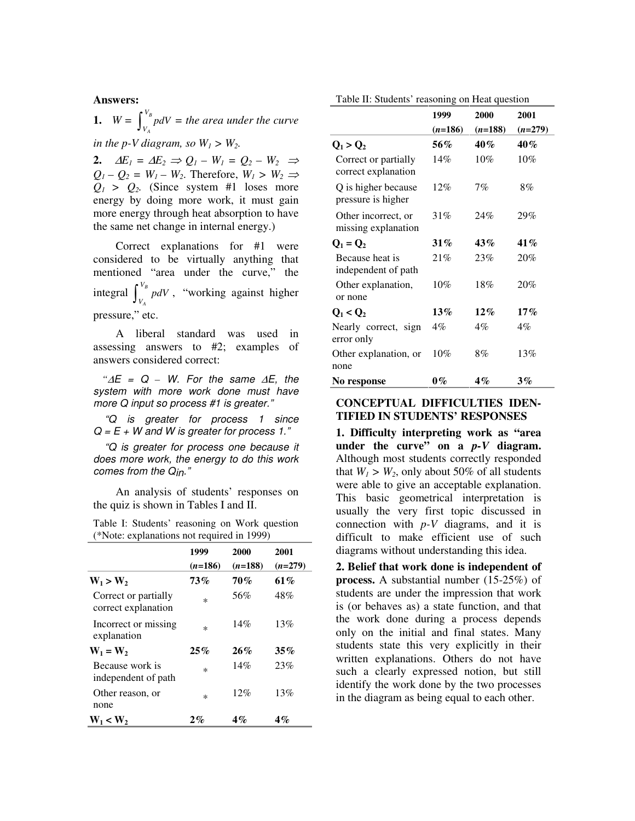#### **Answers:**

1.  $W = \int_{V_1}^{V_B}$ *A V*  $\int_{V_A}^{\infty} p dV =$  the area under the curve *in the p-V diagram, so*  $W_1 > W_2$ *.* 

**2.**  $\Delta E_1 = \Delta E_2 \Rightarrow Q_1 - W_1 = Q_2 - W_2 \Rightarrow$  $Q_1 - Q_2 = W_1 - W_2$ . Therefore,  $W_1 > W_2 \Rightarrow$  $Q_1$  >  $Q_2$ . (Since system #1 loses more energy by doing more work, it must gain more energy through heat absorption to have the same net change in internal energy.)

Correct explanations for #1 were considered to be virtually anything that mentioned "area under the curve," the integral  $\int_{V}^{V_B}$ *A*  $\int_{V_A}^{\infty} p dV$ , "working against higher pressure," etc.

A liberal standard was used in assessing answers to #2; examples of answers considered correct:

 *"*∆E = Q *–* W. For the same ∆E, the system with more work done must have more Q input so process #1 is greater."

 "Q is greater for process 1 since  $Q = E + W$  and W is greater for process 1."

 "Q is greater for process one because it does more work, the energy to do this work comes from the Q<sub>in</sub>."

An analysis of students' responses on the quiz is shown in Tables I and II.

Table I: Students' reasoning on Work question (\*Note: explanations not required in 1999)

|                                             | 1999<br>$(n=186)$ | 2000<br>$(n=188)$ | 2001<br>$(n=279)$ |
|---------------------------------------------|-------------------|-------------------|-------------------|
| $W_1 > W_2$                                 | 73%               | <b>70%</b>        | 61%               |
| Correct or partially<br>correct explanation | $\ast$            | 56%               | 48%               |
| Incorrect or missing<br>explanation         | $\ast$            | 14%               | 13%               |
| $W_1 = W_2$                                 | 25%               | 26%               | 35%               |
| Because work is<br>independent of path      | $\ast$            | 14%               | 23%               |
| Other reason, or<br>none                    | $\ast$            | 12%               | 13%               |
| $W_1 < W_2$                                 | $2\%$             | $4\%$             | $4\%$             |

Table II: Students' reasoning on Heat question

|                                             | 1999      | 2000      | 2001      |
|---------------------------------------------|-----------|-----------|-----------|
|                                             | $(n=186)$ | $(n=188)$ | $(n=279)$ |
| $Q_1 > Q_2$                                 | 56%       | 40%       | $40\%$    |
| Correct or partially<br>correct explanation | 14%       | 10%       | 10%       |
| Q is higher because<br>pressure is higher   | 12%       | 7%        | 8%        |
| Other incorrect, or<br>missing explanation  | 31%       | 24%       | 29%       |
| $Q_1 = Q_2$                                 | $31\%$    | 43%       | 41%       |
| Because heat is<br>independent of path      | 21%       | 23%       | 20%       |
| Other explanation,<br>or none               | $10\%$    | 18%       | 20%       |
| $Q_1 < Q_2$                                 | 13%       | $12\%$    | $17\%$    |
| Nearly correct, sign<br>error only          | $4\%$     | 4%        | 4%        |
| Other explanation, or<br>none               | $10\%$    | 8%        | 13%       |
| No response                                 | $0\%$     | $4\%$     | $3\%$     |

### **CONCEPTUAL DIFFICULTIES IDEN-TIFIED IN STUDENTS' RESPONSES**

**1. Difficulty interpreting work as "area under the curve" on a** *p-V* **diagram.**  Although most students correctly responded that  $W_1 > W_2$ , only about 50% of all students were able to give an acceptable explanation. This basic geometrical interpretation is usually the very first topic discussed in connection with  $p-V$  diagrams, and it is difficult to make efficient use of such diagrams without understanding this idea.

**2. Belief that work done is independent of process.** A substantial number (15-25%) of students are under the impression that work is (or behaves as) a state function, and that the work done during a process depends only on the initial and final states. Many students state this very explicitly in their written explanations. Others do not have such a clearly expressed notion, but still identify the work done by the two processes in the diagram as being equal to each other.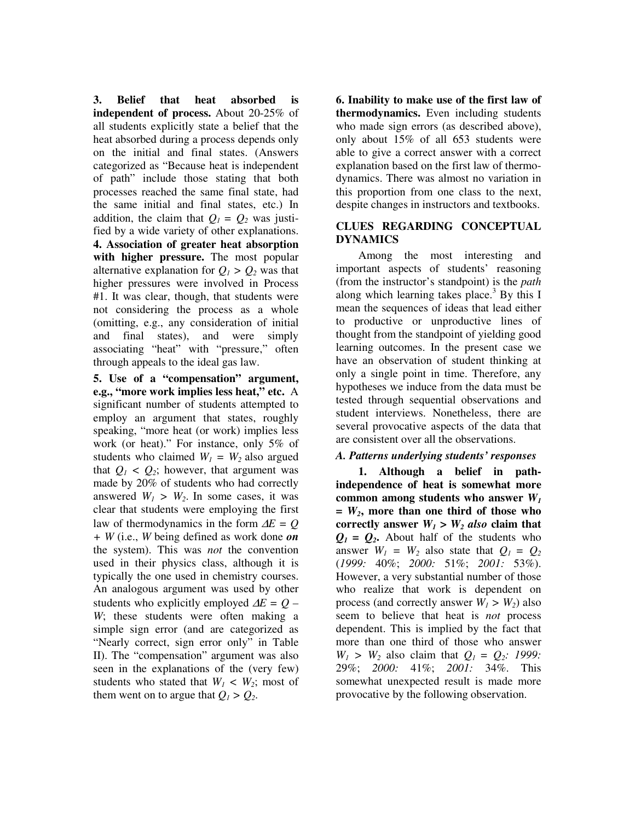**3. Belief that heat absorbed is independent of process.** About 20-25% of all students explicitly state a belief that the heat absorbed during a process depends only on the initial and final states. (Answers categorized as "Because heat is independent of path" include those stating that both processes reached the same final state, had the same initial and final states, etc.) In addition, the claim that  $Q_1 = Q_2$  was justified by a wide variety of other explanations. **4. Association of greater heat absorption with higher pressure.** The most popular alternative explanation for  $Q_1 > Q_2$  was that higher pressures were involved in Process #1. It was clear, though, that students were not considering the process as a whole (omitting, e.g., any consideration of initial and final states), and were simply associating "heat" with "pressure," often through appeals to the ideal gas law.

**5. Use of a "compensation" argument, e.g., "more work implies less heat," etc.** A significant number of students attempted to employ an argument that states, roughly speaking, "more heat (or work) implies less work (or heat)." For instance, only 5% of students who claimed  $W_1 = W_2$  also argued that  $Q_1 < Q_2$ ; however, that argument was made by 20% of students who had correctly answered  $W_1 > W_2$ . In some cases, it was clear that students were employing the first law of thermodynamics in the form ∆*E = Q + W* (i.e., *W* being defined as work done *on*  the system). This was *not* the convention used in their physics class, although it is typically the one used in chemistry courses. An analogous argument was used by other students who explicitly employed ∆*E = Q – W*; these students were often making a simple sign error (and are categorized as "Nearly correct, sign error only" in Table II). The "compensation" argument was also seen in the explanations of the (very few) students who stated that  $W_1 \, \langle W_2; \, \text{most of} \rangle$ them went on to argue that  $Q_1 > Q_2$ .

**6. Inability to make use of the first law of thermodynamics.** Even including students who made sign errors (as described above), only about 15% of all 653 students were able to give a correct answer with a correct explanation based on the first law of thermodynamics. There was almost no variation in this proportion from one class to the next, despite changes in instructors and textbooks.

# **CLUES REGARDING CONCEPTUAL DYNAMICS**

Among the most interesting and important aspects of students' reasoning (from the instructor's standpoint) is the *path* along which learning takes place.<sup>3</sup> By this I mean the sequences of ideas that lead either to productive or unproductive lines of thought from the standpoint of yielding good learning outcomes. In the present case we have an observation of student thinking at only a single point in time. Therefore, any hypotheses we induce from the data must be tested through sequential observations and student interviews. Nonetheless, there are several provocative aspects of the data that are consistent over all the observations.

# *A. Patterns underlying students' responses*

 **1. Although a belief in pathindependence of heat is somewhat more common among students who answer** *W<sup>1</sup> = W2***, more than one third of those who correctly answer**  $W_1 > W_2$  *also* claim that  $Q_1 = Q_2$ . About half of the students who answer  $W_1 = W_2$  also state that  $Q_1 = Q_2$ (*1999:* 40%; *2000:* 51%; *2001:* 53%). However, a very substantial number of those who realize that work is dependent on process (and correctly answer  $W_1 > W_2$ ) also seem to believe that heat is *not* process dependent. This is implied by the fact that more than one third of those who answer  $W_1 > W_2$  also claim that  $Q_1 = Q_2$ : 1999: 29%; *2000:* 41%; *2001:* 34%. This somewhat unexpected result is made more provocative by the following observation.